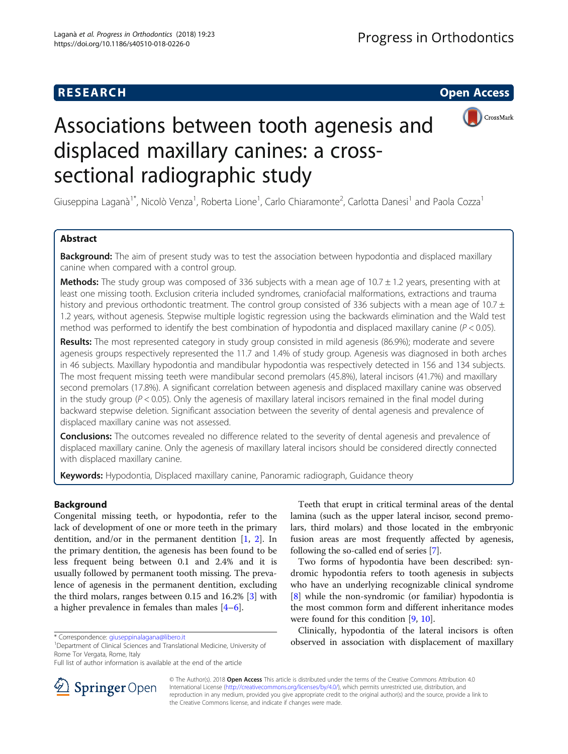# **RESEARCH CHE Open Access**



# Associations between tooth agenesis and displaced maxillary canines: a crosssectional radiographic study

Giuseppina Laganà<sup>1\*</sup>, Nicolò Venza<sup>1</sup>, Roberta Lione<sup>1</sup>, Carlo Chiaramonte<sup>2</sup>, Carlotta Danesi<sup>1</sup> and Paola Cozza<sup>1</sup>

# Abstract

**Background:** The aim of present study was to test the association between hypodontia and displaced maxillary canine when compared with a control group.

**Methods:** The study group was composed of 336 subjects with a mean age of  $10.7 \pm 1.2$  years, presenting with at least one missing tooth. Exclusion criteria included syndromes, craniofacial malformations, extractions and trauma history and previous orthodontic treatment. The control group consisted of 336 subjects with a mean age of  $10.7 \pm$ 1.2 years, without agenesis. Stepwise multiple logistic regression using the backwards elimination and the Wald test method was performed to identify the best combination of hypodontia and displaced maxillary canine ( $P < 0.05$ ).

Results: The most represented category in study group consisted in mild agenesis (86.9%); moderate and severe agenesis groups respectively represented the 11.7 and 1.4% of study group. Agenesis was diagnosed in both arches in 46 subjects. Maxillary hypodontia and mandibular hypodontia was respectively detected in 156 and 134 subjects. The most frequent missing teeth were mandibular second premolars (45.8%), lateral incisors (41.7%) and maxillary second premolars (17.8%). A significant correlation between agenesis and displaced maxillary canine was observed in the study group  $(P < 0.05)$ . Only the agenesis of maxillary lateral incisors remained in the final model during backward stepwise deletion. Significant association between the severity of dental agenesis and prevalence of displaced maxillary canine was not assessed.

**Conclusions:** The outcomes revealed no difference related to the severity of dental agenesis and prevalence of displaced maxillary canine. Only the agenesis of maxillary lateral incisors should be considered directly connected with displaced maxillary canine.

Keywords: Hypodontia, Displaced maxillary canine, Panoramic radiograph, Guidance theory

# Background

Congenital missing teeth, or hypodontia, refer to the lack of development of one or more teeth in the primary dentition, and/or in the permanent dentition [[1,](#page-5-0) [2](#page-5-0)]. In the primary dentition, the agenesis has been found to be less frequent being between 0.1 and 2.4% and it is usually followed by permanent tooth missing. The prevalence of agenesis in the permanent dentition, excluding the third molars, ranges between 0.15 and 16.2% [[3\]](#page-5-0) with a higher prevalence in females than males [\[4](#page-5-0)–[6](#page-5-0)].

Teeth that erupt in critical terminal areas of the dental lamina (such as the upper lateral incisor, second premolars, third molars) and those located in the embryonic fusion areas are most frequently affected by agenesis, following the so-called end of series [\[7\]](#page-5-0).

Two forms of hypodontia have been described: syndromic hypodontia refers to tooth agenesis in subjects who have an underlying recognizable clinical syndrome [[8\]](#page-5-0) while the non-syndromic (or familiar) hypodontia is the most common form and different inheritance modes were found for this condition [\[9](#page-5-0), [10](#page-5-0)].

Clinically, hypodontia of the lateral incisors is often \*Correspondence: [giuseppinalagana@libero.it](mailto:giuseppinalagana@libero.it) biversity of the correspondence: giuseppinalagana@libero.it 1999. The correspondence: giuseppinalagana@libero.it 1999. The correspondence: giuseppinalagana@libero.it 1999. The co



© The Author(s). 2018 Open Access This article is distributed under the terms of the Creative Commons Attribution 4.0 International License ([http://creativecommons.org/licenses/by/4.0/\)](http://creativecommons.org/licenses/by/4.0/), which permits unrestricted use, distribution, and reproduction in any medium, provided you give appropriate credit to the original author(s) and the source, provide a link to the Creative Commons license, and indicate if changes were made.

<sup>&</sup>lt;sup>1</sup>Department of Clinical Sciences and Translational Medicine, University of Rome Tor Vergata, Rome, Italy

Full list of author information is available at the end of the article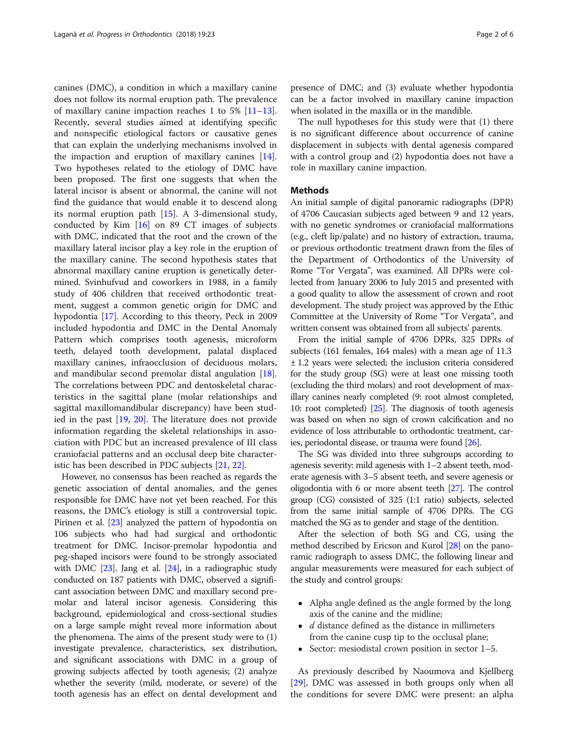canines (DMC), a condition in which a maxillary canine does not follow its normal eruption path. The prevalence of maxillary canine impaction reaches 1 to 5%  $[11-13]$  $[11-13]$  $[11-13]$  $[11-13]$  $[11-13]$ . Recently, several studies aimed at identifying specific and nonspecific etiological factors or causative genes that can explain the underlying mechanisms involved in the impaction and eruption of maxillary canines [\[14](#page-5-0)]. Two hypotheses related to the etiology of DMC have been proposed. The first one suggests that when the lateral incisor is absent or abnormal, the canine will not find the guidance that would enable it to descend along its normal eruption path [[15](#page-5-0)]. A 3-dimensional study, conducted by Kim [[16](#page-5-0)] on 89 CT images of subjects with DMC, indicated that the root and the crown of the maxillary lateral incisor play a key role in the eruption of the maxillary canine. The second hypothesis states that abnormal maxillary canine eruption is genetically determined. Svinhufvud and coworkers in 1988, in a family study of 406 children that received orthodontic treatment, suggest a common genetic origin for DMC and hypodontia [\[17](#page-5-0)]. According to this theory, Peck in 2009 included hypodontia and DMC in the Dental Anomaly Pattern which comprises tooth agenesis, microform teeth, delayed tooth development, palatal displaced maxillary canines, infraocclusion of deciduous molars, and mandibular second premolar distal angulation [\[18](#page-5-0)]. The correlations between PDC and dentoskeletal characteristics in the sagittal plane (molar relationships and sagittal maxillomandibular discrepancy) have been studied in the past [[19](#page-5-0), [20](#page-5-0)]. The literature does not provide information regarding the skeletal relationships in association with PDC but an increased prevalence of III class craniofacial patterns and an occlusal deep bite characteristic has been described in PDC subjects [[21,](#page-5-0) [22](#page-5-0)].

However, no consensus has been reached as regards the genetic association of dental anomalies, and the genes responsible for DMC have not yet been reached. For this reasons, the DMC's etiology is still a controversial topic. Pirinen et al. [\[23\]](#page-5-0) analyzed the pattern of hypodontia on 106 subjects who had had surgical and orthodontic treatment for DMC. Incisor-premolar hypodontia and peg-shaped incisors were found to be strongly associated with DMC [\[23\]](#page-5-0). Jang et al. [[24](#page-5-0)], in a radiographic study conducted on 187 patients with DMC, observed a significant association between DMC and maxillary second premolar and lateral incisor agenesis. Considering this background, epidemiological and cross-sectional studies on a large sample might reveal more information about the phenomena. The aims of the present study were to (1) investigate prevalence, characteristics, sex distribution, and significant associations with DMC in a group of growing subjects affected by tooth agenesis; (2) analyze whether the severity (mild, moderate, or severe) of the tooth agenesis has an effect on dental development and presence of DMC; and (3) evaluate whether hypodontia can be a factor involved in maxillary canine impaction when isolated in the maxilla or in the mandible.

The null hypotheses for this study were that (1) there is no significant difference about occurrence of canine displacement in subjects with dental agenesis compared with a control group and (2) hypodontia does not have a role in maxillary canine impaction.

## **Methods**

An initial sample of digital panoramic radiographs (DPR) of 4706 Caucasian subjects aged between 9 and 12 years, with no genetic syndromes or craniofacial malformations (e.g., cleft lip/palate) and no history of extraction, trauma, or previous orthodontic treatment drawn from the files of the Department of Orthodontics of the University of Rome "Tor Vergata", was examined. All DPRs were collected from January 2006 to July 2015 and presented with a good quality to allow the assessment of crown and root development. The study project was approved by the Ethic Committee at the University of Rome "Tor Vergata", and written consent was obtained from all subjects' parents.

From the initial sample of 4706 DPRs, 325 DPRs of subjects (161 females, 164 males) with a mean age of 11.3 ± 1.2 years were selected; the inclusion criteria considered for the study group (SG) were at least one missing tooth (excluding the third molars) and root development of maxillary canines nearly completed (9: root almost completed, 10: root completed) [[25](#page-5-0)]. The diagnosis of tooth agenesis was based on when no sign of crown calcification and no evidence of loss attributable to orthodontic treatment, caries, periodontal disease, or trauma were found [[26\]](#page-5-0).

The SG was divided into three subgroups according to agenesis severity: mild agenesis with 1–2 absent teeth, moderate agenesis with 3–5 absent teeth, and severe agenesis or oligodontia with 6 or more absent teeth [\[27](#page-5-0)]. The control group (CG) consisted of 325 (1:1 ratio) subjects, selected from the same initial sample of 4706 DPRs. The CG matched the SG as to gender and stage of the dentition.

After the selection of both SG and CG, using the method described by Ericson and Kurol [[28](#page-5-0)] on the panoramic radiograph to assess DMC, the following linear and angular measurements were measured for each subject of the study and control groups:

- Alpha angle defined as the angle formed by the long axis of the canine and the midline;
- $\bullet$  d distance defined as the distance in millimeters from the canine cusp tip to the occlusal plane;
- Sector: mesiodistal crown position in sector  $1-5$ .

As previously described by Naoumova and Kjellberg [[29\]](#page-5-0), DMC was assessed in both groups only when all the conditions for severe DMC were present: an alpha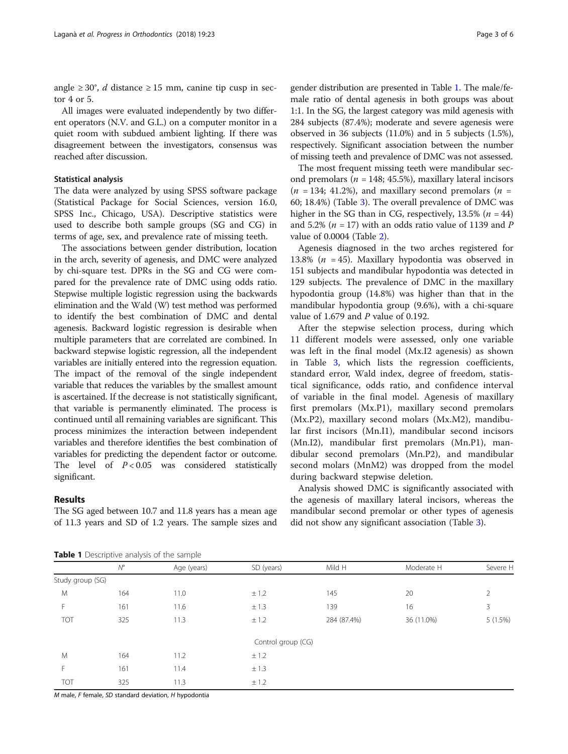angle  $\geq 30^{\circ}$ , *d* distance  $\geq 15$  mm, canine tip cusp in sector 4 or 5.

All images were evaluated independently by two different operators (N.V. and G.L.) on a computer monitor in a quiet room with subdued ambient lighting. If there was disagreement between the investigators, consensus was reached after discussion.

## Statistical analysis

The data were analyzed by using SPSS software package (Statistical Package for Social Sciences, version 16.0, SPSS Inc., Chicago, USA). Descriptive statistics were used to describe both sample groups (SG and CG) in terms of age, sex, and prevalence rate of missing teeth.

The associations between gender distribution, location in the arch, severity of agenesis, and DMC were analyzed by chi-square test. DPRs in the SG and CG were compared for the prevalence rate of DMC using odds ratio. Stepwise multiple logistic regression using the backwards elimination and the Wald (W) test method was performed to identify the best combination of DMC and dental agenesis. Backward logistic regression is desirable when multiple parameters that are correlated are combined. In backward stepwise logistic regression, all the independent variables are initially entered into the regression equation. The impact of the removal of the single independent variable that reduces the variables by the smallest amount is ascertained. If the decrease is not statistically significant, that variable is permanently eliminated. The process is continued until all remaining variables are significant. This process minimizes the interaction between independent variables and therefore identifies the best combination of variables for predicting the dependent factor or outcome. The level of  $P < 0.05$  was considered statistically significant.

## Results

The SG aged between 10.7 and 11.8 years has a mean age of 11.3 years and SD of 1.2 years. The sample sizes and gender distribution are presented in Table 1. The male/female ratio of dental agenesis in both groups was about 1:1. In the SG, the largest category was mild agenesis with 284 subjects (87.4%); moderate and severe agenesis were observed in 36 subjects (11.0%) and in 5 subjects (1.5%), respectively. Significant association between the number of missing teeth and prevalence of DMC was not assessed.

The most frequent missing teeth were mandibular second premolars ( $n = 148$ ; 45.5%), maxillary lateral incisors  $(n = 134; 41.2\%)$ , and maxillary second premolars  $(n = 134; 41.2\%)$ 60; 18.4%) (Table [3\)](#page-3-0). The overall prevalence of DMC was higher in the SG than in CG, respectively,  $13.5\%$  ( $n = 44$ ) and 5.2% ( $n = 17$ ) with an odds ratio value of 1139 and P value of 0.0004 (Table [2\)](#page-3-0).

Agenesis diagnosed in the two arches registered for 13.8% ( $n = 45$ ). Maxillary hypodontia was observed in 151 subjects and mandibular hypodontia was detected in 129 subjects. The prevalence of DMC in the maxillary hypodontia group (14.8%) was higher than that in the mandibular hypodontia group (9.6%), with a chi-square value of 1.679 and P value of 0.192.

After the stepwise selection process, during which 11 different models were assessed, only one variable was left in the final model (Mx.I2 agenesis) as shown in Table [3,](#page-3-0) which lists the regression coefficients, standard error, Wald index, degree of freedom, statistical significance, odds ratio, and confidence interval of variable in the final model. Agenesis of maxillary first premolars (Mx.P1), maxillary second premolars (Mx.P2), maxillary second molars (Mx.M2), mandibular first incisors (Mn.I1), mandibular second incisors (Mn.I2), mandibular first premolars (Mn.P1), mandibular second premolars (Mn.P2), and mandibular second molars (MnM2) was dropped from the model during backward stepwise deletion.

Analysis showed DMC is significantly associated with the agenesis of maxillary lateral incisors, whereas the mandibular second premolar or other types of agenesis did not show any significant association (Table [3](#page-3-0)).

Table 1 Descriptive analysis of the sample

|                  | <b>Table I</b> Descriptive analysis of the sample |             |                    |             |            |          |
|------------------|---------------------------------------------------|-------------|--------------------|-------------|------------|----------|
|                  | $N^{\circ}$                                       | Age (years) | SD (years)         | Mild H      | Moderate H | Severe H |
| Study group (SG) |                                                   |             |                    |             |            |          |
| M                | 164                                               | 11.0        | ± 1.2              | 145         | 20         | 2        |
| F                | 161                                               | 11.6        | ± 1.3              | 139         | 16         | 3        |
| <b>TOT</b>       | 325                                               | 11.3        | ± 1.2              | 284 (87.4%) | 36 (11.0%) | 5(1.5%)  |
|                  |                                                   |             | Control group (CG) |             |            |          |
| M                | 164                                               | 11.2        | ± 1.2              |             |            |          |
| F                | 161                                               | 11.4        | ± 1.3              |             |            |          |
| TOT              | 325                                               | 11.3        | ± 1.2              |             |            |          |
|                  |                                                   |             |                    |             |            |          |

M male, F female, SD standard deviation, H hypodontia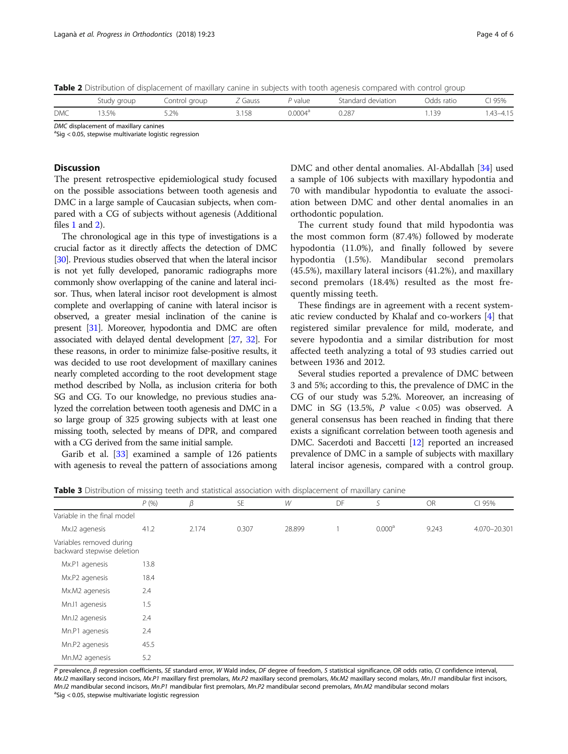<span id="page-3-0"></span>Table 2 Distribution of displacement of maxillary canine in subjects with tooth agenesis compared with control group

|            | Study group | Control group | Z Gauss | P value             | Standard deviation | Odds ratio | ዝ 95%        |
|------------|-------------|---------------|---------|---------------------|--------------------|------------|--------------|
| <b>DMC</b> | 3.5%        | 5.2%          | 3.158   | 0.0004 <sup>d</sup> | 0.287              | .139       | $.43 - 4.15$ |
| $-1$       |             |               |         |                     |                    |            |              |

DMC displacement of maxillary canines

 $a$ Sig < 0.05, stepwise multivariate logistic regression

# Discussion

The present retrospective epidemiological study focused on the possible associations between tooth agenesis and DMC in a large sample of Caucasian subjects, when compared with a CG of subjects without agenesis (Additional files [1](#page-4-0) and [2\)](#page-4-0).

The chronological age in this type of investigations is a crucial factor as it directly affects the detection of DMC [[30](#page-5-0)]. Previous studies observed that when the lateral incisor is not yet fully developed, panoramic radiographs more commonly show overlapping of the canine and lateral incisor. Thus, when lateral incisor root development is almost complete and overlapping of canine with lateral incisor is observed, a greater mesial inclination of the canine is present [\[31\]](#page-5-0). Moreover, hypodontia and DMC are often associated with delayed dental development [\[27,](#page-5-0) [32\]](#page-5-0). For these reasons, in order to minimize false-positive results, it was decided to use root development of maxillary canines nearly completed according to the root development stage method described by Nolla, as inclusion criteria for both SG and CG. To our knowledge, no previous studies analyzed the correlation between tooth agenesis and DMC in a so large group of 325 growing subjects with at least one missing tooth, selected by means of DPR, and compared with a CG derived from the same initial sample.

Garib et al. [[33\]](#page-5-0) examined a sample of 126 patients with agenesis to reveal the pattern of associations among DMC and other dental anomalies. Al-Abdallah [[34\]](#page-5-0) used a sample of 106 subjects with maxillary hypodontia and 70 with mandibular hypodontia to evaluate the association between DMC and other dental anomalies in an orthodontic population.

The current study found that mild hypodontia was the most common form (87.4%) followed by moderate hypodontia (11.0%), and finally followed by severe hypodontia (1.5%). Mandibular second premolars (45.5%), maxillary lateral incisors (41.2%), and maxillary second premolars (18.4%) resulted as the most frequently missing teeth.

These findings are in agreement with a recent systematic review conducted by Khalaf and co-workers [\[4](#page-5-0)] that registered similar prevalence for mild, moderate, and severe hypodontia and a similar distribution for most affected teeth analyzing a total of 93 studies carried out between 1936 and 2012.

Several studies reported a prevalence of DMC between 3 and 5%; according to this, the prevalence of DMC in the CG of our study was 5.2%. Moreover, an increasing of DMC in SG (13.5%, P value < 0.05) was observed. A general consensus has been reached in finding that there exists a significant correlation between tooth agenesis and DMC. Sacerdoti and Baccetti [\[12\]](#page-5-0) reported an increased prevalence of DMC in a sample of subjects with maxillary lateral incisor agenesis, compared with a control group.

**Table 3** Distribution of missing teeth and statistical association with displacement of maxillary canine

|                                                        | P(96) | $\beta$ | <b>SE</b> | W      | DF | S                  | OR    | CI 95%       |
|--------------------------------------------------------|-------|---------|-----------|--------|----|--------------------|-------|--------------|
| Variable in the final model                            |       |         |           |        |    |                    |       |              |
| Mx.I2 agenesis                                         | 41.2  | 2.174   | 0.307     | 28.899 |    | 0.000 <sup>a</sup> | 9.243 | 4.070-20.301 |
| Variables removed during<br>backward stepwise deletion |       |         |           |        |    |                    |       |              |
| Mx.P1 agenesis                                         | 13.8  |         |           |        |    |                    |       |              |
| Mx.P2 agenesis                                         | 18.4  |         |           |        |    |                    |       |              |
| Mx.M2 agenesis                                         | 2.4   |         |           |        |    |                    |       |              |
| Mn.I1 agenesis                                         | 1.5   |         |           |        |    |                    |       |              |
| Mn.I2 agenesis                                         | 2.4   |         |           |        |    |                    |       |              |
| Mn.P1 agenesis                                         | 2.4   |         |           |        |    |                    |       |              |
| Mn.P2 agenesis                                         | 45.5  |         |           |        |    |                    |       |              |
| Mn.M2 agenesis                                         | 5.2   |         |           |        |    |                    |       |              |

P prevalence, β regression coefficients, SE standard error, W Wald index, DF degree of freedom, S statistical significance, OR odds ratio, CI confidence interval, Mx.I2 maxillary second incisors, Mx.P1 maxillary first premolars, Mx.P2 maxillary second premolars, Mx.M2 maxillary second molars, Mn.I1 mandibular first incisors, Mn.I2 mandibular second incisors, Mn.P1 mandibular first premolars, Mn.P2 mandibular second premolars, Mn.M2 mandibular second molars <sup>a</sup>Sig < 0.05, stepwise multivariate logistic regression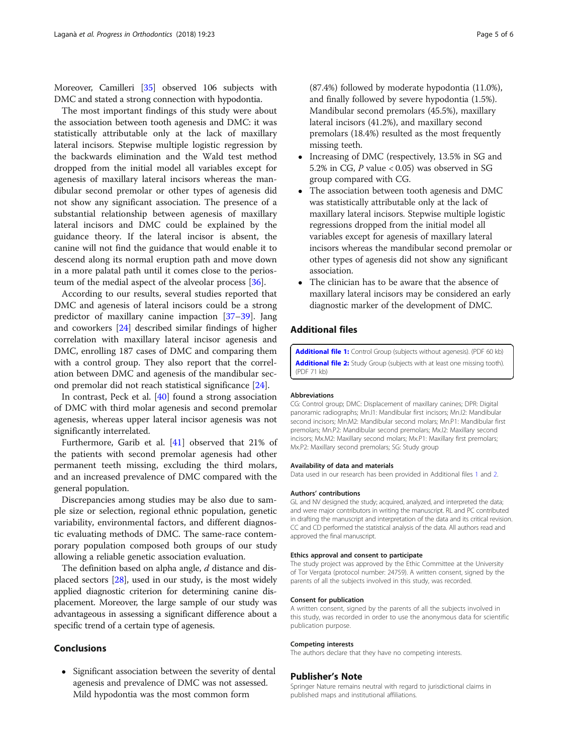<span id="page-4-0"></span>Moreover, Camilleri [[35](#page-5-0)] observed 106 subjects with DMC and stated a strong connection with hypodontia.

The most important findings of this study were about the association between tooth agenesis and DMC: it was statistically attributable only at the lack of maxillary lateral incisors. Stepwise multiple logistic regression by the backwards elimination and the Wald test method dropped from the initial model all variables except for agenesis of maxillary lateral incisors whereas the mandibular second premolar or other types of agenesis did not show any significant association. The presence of a substantial relationship between agenesis of maxillary lateral incisors and DMC could be explained by the guidance theory. If the lateral incisor is absent, the canine will not find the guidance that would enable it to descend along its normal eruption path and move down in a more palatal path until it comes close to the periosteum of the medial aspect of the alveolar process [[36\]](#page-5-0).

According to our results, several studies reported that DMC and agenesis of lateral incisors could be a strong predictor of maxillary canine impaction [[37](#page-5-0)–[39](#page-5-0)]. Jang and coworkers [[24\]](#page-5-0) described similar findings of higher correlation with maxillary lateral incisor agenesis and DMC, enrolling 187 cases of DMC and comparing them with a control group. They also report that the correlation between DMC and agenesis of the mandibular second premolar did not reach statistical significance [[24\]](#page-5-0).

In contrast, Peck et al. [[40\]](#page-5-0) found a strong association of DMC with third molar agenesis and second premolar agenesis, whereas upper lateral incisor agenesis was not significantly interrelated.

Furthermore, Garib et al. [\[41\]](#page-5-0) observed that 21% of the patients with second premolar agenesis had other permanent teeth missing, excluding the third molars, and an increased prevalence of DMC compared with the general population.

Discrepancies among studies may be also due to sample size or selection, regional ethnic population, genetic variability, environmental factors, and different diagnostic evaluating methods of DMC. The same-race contemporary population composed both groups of our study allowing a reliable genetic association evaluation.

The definition based on alpha angle, d distance and displaced sectors [\[28\]](#page-5-0), used in our study, is the most widely applied diagnostic criterion for determining canine displacement. Moreover, the large sample of our study was advantageous in assessing a significant difference about a specific trend of a certain type of agenesis.

# Conclusions

• Significant association between the severity of dental agenesis and prevalence of DMC was not assessed. Mild hypodontia was the most common form

(87.4%) followed by moderate hypodontia (11.0%), and finally followed by severe hypodontia (1.5%). Mandibular second premolars (45.5%), maxillary lateral incisors (41.2%), and maxillary second premolars (18.4%) resulted as the most frequently missing teeth.

- Increasing of DMC (respectively, 13.5% in SG and 5.2% in CG, P value < 0.05) was observed in SG group compared with CG.
- The association between tooth agenesis and DMC was statistically attributable only at the lack of maxillary lateral incisors. Stepwise multiple logistic regressions dropped from the initial model all variables except for agenesis of maxillary lateral incisors whereas the mandibular second premolar or other types of agenesis did not show any significant association.
- The clinician has to be aware that the absence of maxillary lateral incisors may be considered an early diagnostic marker of the development of DMC.

# Additional files

[Additional file 1:](https://doi.org/10.1186/s40510-018-0226-0) Control Group (subjects without agenesis). (PDF 60 kb) [Additional file 2:](https://doi.org/10.1186/s40510-018-0226-0) Study Group (subjects with at least one missing tooth). (PDF 71 kb)

#### Abbreviations

CG: Control group; DMC: Displacement of maxillary canines; DPR: Digital panoramic radiographs; Mn.I1: Mandibular first incisors; Mn.I2: Mandibular second incisors; Mn.M2: Mandibular second molars; Mn.P1: Mandibular first premolars; Mn.P2: Mandibular second premolars; Mx.I2: Maxillary second incisors; Mx.M2: Maxillary second molars; Mx.P1: Maxillary first premolars; Mx.P2: Maxillary second premolars; SG: Study group

#### Availability of data and materials

Data used in our research has been provided in Additional files 1 and 2.

#### Authors' contributions

GL and NV designed the study; acquired, analyzed, and interpreted the data; and were major contributors in writing the manuscript. RL and PC contributed in drafting the manuscript and interpretation of the data and its critical revision. CC and CD performed the statistical analysis of the data. All authors read and approved the final manuscript.

## Ethics approval and consent to participate

The study project was approved by the Ethic Committee at the University of Tor Vergata (protocol number: 24759). A written consent, signed by the parents of all the subjects involved in this study, was recorded.

#### Consent for publication

A written consent, signed by the parents of all the subjects involved in this study, was recorded in order to use the anonymous data for scientific publication purpose.

#### Competing interests

The authors declare that they have no competing interests.

#### Publisher's Note

Springer Nature remains neutral with regard to jurisdictional claims in published maps and institutional affiliations.